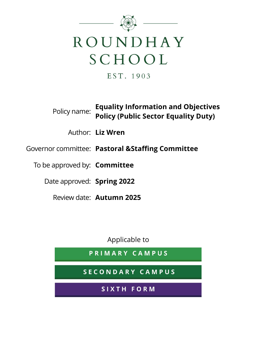

EST. 1903

**Policy name:** Equality Information and Objectives Policy (Public Sector Equality Duty)

Author: Liz Wren

Governor committee: Pastoral &Staffing Committee

To be approved by: **Committee** 

Date approved: Spring 2022

Review date: Autumn 2025

Applicable to

PRIMARY CAMPUS

SECONDARY CAMPUS

SIXTH FORM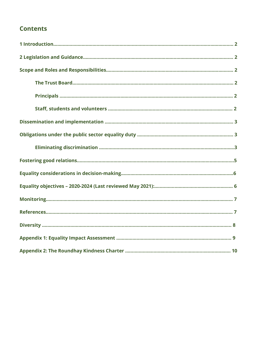### **Contents**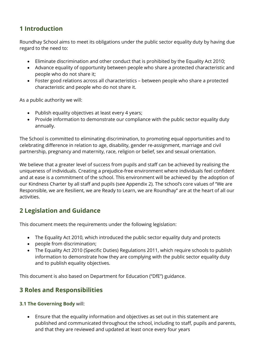### 1 Introduction

Roundhay School aims to meet its obligations under the public sector equality duty by having due regard to the need to:

- Eliminate discrimination and other conduct that is prohibited by the Equality Act 2010;
- Advance equality of opportunity between people who share a protected characteristic and people who do not share it;
- Foster good relations across all characteristics between people who share a protected characteristic and people who do not share it.

As a public authority we will:

- Publish equality objectives at least every 4 years;
- Provide information to demonstrate our compliance with the public sector equality duty annually.

The School is committed to eliminating discrimination, to promoting equal opportunities and to celebrating difference in relation to age, disability, gender re-assignment, marriage and civil partnership, pregnancy and maternity, race, religion or belief, sex and sexual orientation.

We believe that a greater level of success from pupils and staff can be achieved by realising the uniqueness of individuals. Creating a prejudice-free environment where individuals feel confident and at ease is a commitment of the school. This environment will be achieved by the adoption of our Kindness Charter by all staff and pupils (see Appendix 2). The school's core values of "We are Responsible, we are Resilient, we are Ready to Learn, we are Roundhay" are at the heart of all our activities.

### 2 Legislation and Guidance

This document meets the requirements under the following legislation:

- The Equality Act 2010, which introduced the public sector equality duty and protects
- people from discrimination;
- The Equality Act 2010 (Specific Duties) Regulations 2011, which require schools to publish information to demonstrate how they are complying with the public sector equality duty and to publish equality objectives.

This document is also based on Department for Education ("DfE") guidance.

### 3 Roles and Responsibilities

#### 3.1 The Governing Body will:

 Ensure that the equality information and objectives as set out in this statement are published and communicated throughout the school, including to staff, pupils and parents, and that they are reviewed and updated at least once every four years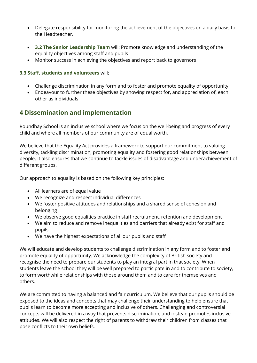- Delegate responsibility for monitoring the achievement of the objectives on a daily basis to the Headteacher.
- 3.2 The Senior Leadership Team will: Promote knowledge and understanding of the equality objectives among staff and pupils
- Monitor success in achieving the objectives and report back to governors

#### 3.3 Staff, students and volunteers will:

- Challenge discrimination in any form and to foster and promote equality of opportunity
- Endeavour to further these objectives by showing respect for, and appreciation of, each other as individuals

### 4 Dissemination and implementation

Roundhay School is an inclusive school where we focus on the well-being and progress of every child and where all members of our community are of equal worth.

We believe that the Equality Act provides a framework to support our commitment to valuing diversity, tackling discrimination, promoting equality and fostering good relationships between people. It also ensures that we continue to tackle issues of disadvantage and underachievement of different groups.

Our approach to equality is based on the following key principles:

- All learners are of equal value
- We recognize and respect individual differences
- We foster positive attitudes and relationships and a shared sense of cohesion and belonging
- We observe good equalities practice in staff recruitment, retention and development
- We aim to reduce and remove inequalities and barriers that already exist for staff and pupils
- We have the highest expectations of all our pupils and staff

We will educate and develop students to challenge discrimination in any form and to foster and promote equality of opportunity. We acknowledge the complexity of British society and recognise the need to prepare our students to play an integral part in that society. When students leave the school they will be well prepared to participate in and to contribute to society, to form worthwhile relationships with those around them and to care for themselves and others.

We are committed to having a balanced and fair curriculum. We believe that our pupils should be exposed to the ideas and concepts that may challenge their understanding to help ensure that pupils learn to become more accepting and inclusive of others. Challenging and controversial concepts will be delivered in a way that prevents discrimination, and instead promotes inclusive attitudes. We will also respect the right of parents to withdraw their children from classes that pose conflicts to their own beliefs.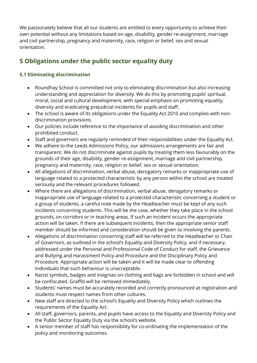We passionately believe that all our students are entitled to every opportunity to achieve their own potential without any limitations based on age, disability, gender re-assignment, marriage and civil partnership, pregnancy and maternity, race, religion or belief, sex and sexual orientation.

## 5 Obligations under the public sector equality duty

#### 5.1 Eliminating discrimination

- Roundhay School is committed not only to eliminating discrimination but also increasing understanding and appreciation for diversity. We do this by promoting pupils' spiritual, moral, social and cultural development, with special emphasis on promoting equality, diversity and eradicating prejudicial incidents for pupils and staff.
- The school is aware of its obligations under the Equality Act 2010 and complies with nondiscrimination provisions.
- Our policies include reference to the importance of avoiding discrimination and other prohibited conduct.
- Staff and governors are regularly reminded of their responsibilities under the Equality Act.
- We adhere to the Leeds Admissions Policy, our admissions arrangements are fair and transparent. We do not discriminate against pupils by treating them less favourably on the grounds of their age, disability, gender re-assignment, marriage and civil partnership, pregnancy and maternity, race, religion or belief, sex or sexual orientation.
- All allegations of discrimination, verbal abuse, derogatory remarks or inappropriate use of language related to a protected characteristic by any person within the school are treated seriously and the relevant procedures followed.
- Where there are allegations of discrimination, verbal abuse, derogatory remarks or inappropriate use of language related to a protected characteristic concerning a student or a group of students, a careful note made by the Headteacher must be kept of any such incidents concerning students. This will be the case, whether they take place in the school grounds, on corridors or in teaching areas. If such an incident occurs the appropriate action will be taken. If there are subsequent incidents, then the appropriate senior staff member should be informed and consideration should be given to involving the parents.
- Allegations of discrimination concerning staff will be referred to the Headteacher or Chair of Governors, as outlined in the school's Equality and Diversity Policy, and if necessary, addressed under the Personal and Professional Code of Conduct for staff, the Grievance and Bullying and Harassment Policy and Procedure and the Disciplinary Policy and Procedure. Appropriate action will be taken and it will be made clear to offending individuals that such behaviour is unacceptable.
- Racist symbols, badges and insignias on clothing and bags are forbidden in school and will be confiscated. Graffiti will be removed immediately.
- Students' names must be accurately recorded and correctly pronounced at registration and students must respect names from other cultures.
- New staff are directed to the school's Equality and Diversity Policy which outlines the requirements of the Equality Act.
- All staff, governors, parents, and pupils have access to the Equality and Diversity Policy and the Public Sector Equality Duty via the school's website.
- A senior member of staff has responsibility for co-ordinating the implementation of the policy and monitoring outcomes.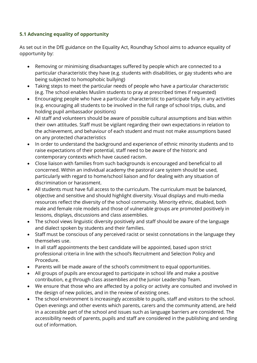#### 5.1 Advancing equality of opportunity

As set out in the DfE guidance on the Equality Act, Roundhay School aims to advance equality of opportunity by:

- Removing or minimising disadvantages suffered by people which are connected to a particular characteristic they have (e.g. students with disabilities, or gay students who are being subjected to homophobic bullying)
- Taking steps to meet the particular needs of people who have a particular characteristic (e.g. The school enables Muslim students to pray at prescribed times if requested)
- Encouraging people who have a particular characteristic to participate fully in any activities (e.g. encouraging all students to be involved in the full range of school trips, clubs, and holding pupil ambassador positions)
- All staff and volunteers should be aware of possible cultural assumptions and bias within their own attitudes. Staff must be vigilant regarding their own expectations in relation to the achievement, and behaviour of each student and must not make assumptions based on any protected characteristics
- In order to understand the background and experience of ethnic minority students and to raise expectations of their potential, staff need to be aware of the historic and contemporary contexts which have caused racism.
- Close liaison with families from such backgrounds is encouraged and beneficial to all concerned. Within an individual academy the pastoral care system should be used, particularly with regard to home/school liaison and for dealing with any situation of discrimination or harassment.
- All students must have full access to the curriculum. The curriculum must be balanced, objective and sensitive and should highlight diversity. Visual displays and multi-media resources reflect the diversity of the school community. Minority ethnic, disabled, both male and female role models and those of vulnerable groups are promoted positively in lessons, displays, discussions and class assemblies.
- The school views linguistic diversity positively and staff should be aware of the language and dialect spoken by students and their families.
- Staff must be conscious of any perceived racist or sexist connotations in the language they themselves use.
- In all staff appointments the best candidate will be appointed, based upon strict professional criteria in line with the school's Recruitment and Selection Policy and Procedure.
- Parents will be made aware of the school's commitment to equal opportunities.
- All groups of pupils are encouraged to participate in school life and make a positive contribution, e.g through class assemblies and the Junior Leadership Team.
- We ensure that those who are affected by a policy or activity are consulted and involved in the design of new policies, and in the review of existing ones.
- The school environment is increasingly accessible to pupils, staff and visitors to the school. Open evenings and other events which parents, carers and the community attend, are held in a accessible part of the school and issues such as language barriers are considered. The accessibility needs of parents, pupils and staff are considered in the publishing and sending out of information.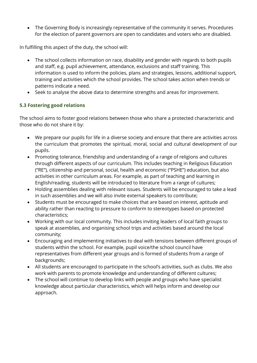• The Governing Body is increasingly representative of the community it serves. Procedures for the election of parent governors are open to candidates and voters who are disabled.

In fulfilling this aspect of the duty, the school will:

- The school collects information on race, disability and gender with regards to both pupils and staff, e.g. pupil achievement, attendance, exclusions and staff training. This information is used to inform the policies, plans and strategies, lessons, additional support, training and activities which the school provides. The school takes action when trends or patterns indicate a need.
- Seek to analyse the above data to determine strengths and areas for improvement.

#### 5.3 Fostering good relations

The school aims to foster good relations between those who share a protected characteristic and those who do not share it by:

- We prepare our pupils for life in a diverse society and ensure that there are activities across the curriculum that promotes the spiritual, moral, social and cultural development of our pupils.
- Promoting tolerance, friendship and understanding of a range of religions and cultures through different aspects of our curriculum. This includes teaching in Religious Education ("RE"), citizenship and personal, social, health and economic ("PSHE") education, but also activities in other curriculum areas. For example, as part of teaching and learning in English/reading, students will be introduced to literature from a range of cultures;
- Holding assemblies dealing with relevant issues. Students will be encouraged to take a lead in such assemblies and we will also invite external speakers to contribute;
- Students must be encouraged to make choices that are based on interest, aptitude and ability rather than reacting to pressure to conform to stereotypes based on protected characteristics;
- Working with our local community. This includes inviting leaders of local faith groups to speak at assemblies, and organising school trips and activities based around the local community;
- Encouraging and implementing initiatives to deal with tensions between different groups of students within the school. For example, pupil voice/the school council have representatives from different year groups and is formed of students from a range of backgrounds;
- All students are encouraged to participate in the school's activities, such as clubs. We also work with parents to promote knowledge and understanding of different cultures;
- The school will continue to develop links with people and groups who have specialist knowledge about particular characteristics, which will helps inform and develop our approach.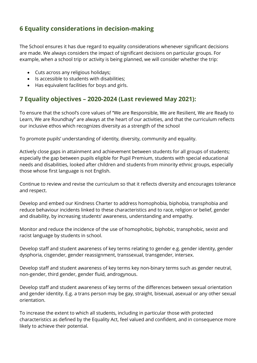### 6 Equality considerations in decision-making

The School ensures it has due regard to equality considerations whenever significant decisions are made. We always considers the impact of significant decisions on particular groups. For example, when a school trip or activity is being planned, we will consider whether the trip:

- Cuts across any religious holidays;
- Is accessible to students with disabilities:
- Has equivalent facilities for boys and girls.

### 7 Equality objectives – 2020-2024 (Last reviewed May 2021):

To ensure that the school's core values of "We are Responsible, We are Resilient, We are Ready to Learn, We are Roundhay" are always at the heart of our activities, and that the curriculum reflects our inclusive ethos which recognizes diversity as a strength of the school

To promote pupils' understanding of identity, diversity, community and equality.

Actively close gaps in attainment and achievement between students for all groups of students; especially the gap between pupils eligible for Pupil Premium, students with special educational needs and disabilities, looked after children and students from minority ethnic groups, especially those whose first language is not English.

Continue to review and revise the curriculum so that it reflects diversity and encourages tolerance and respect.

Develop and embed our Kindness Charter to address homophobia, biphobia, transphobia and reduce behaviour incidents linked to these characteristics and to race, religion or belief, gender and disability, by increasing students' awareness, understanding and empathy.

Monitor and reduce the incidence of the use of homophobic, biphobic, transphobic, sexist and racist language by students in school.

Develop staff and student awareness of key terms relating to gender e.g. gender identity, gender dysphoria, cisgender, gender reassignment, transsexual, transgender, intersex.

Develop staff and student awareness of key terms key non-binary terms such as gender neutral, non-gender, third gender, gender fluid, androgynous.

Develop staff and student awareness of key terms of the differences between sexual orientation and gender identity. E.g. a trans person may be gay, straight, bisexual, asexual or any other sexual orientation.

To increase the extent to which all students, including in particular those with protected characteristics as defined by the Equality Act, feel valued and confident, and in consequence more likely to achieve their potential.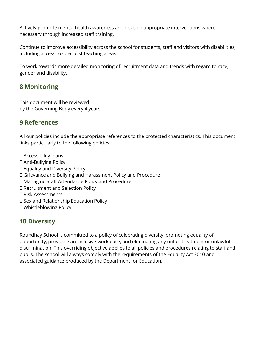Actively promote mental health awareness and develop appropriate interventions where necessary through increased staff training.

Continue to improve accessibility across the school for students, staff and visitors with disabilities, including access to specialist teaching areas.

To work towards more detailed monitoring of recruitment data and trends with regard to race, gender and disability.

### 8 Monitoring

This document will be reviewed by the Governing Body every 4 years.

### 9 References

All our policies include the appropriate references to the protected characteristics. This document links particularly to the following policies:

 Accessibility plans Anti-Bullying Policy Equality and Diversity Policy Grievance and Bullying and Harassment Policy and Procedure Managing Staff Attendance Policy and Procedure Recruitment and Selection Policy Risk Assessments D Sex and Relationship Education Policy Whistleblowing Policy

### 10 Diversity

Roundhay School is committed to a policy of celebrating diversity, promoting equality of opportunity, providing an inclusive workplace, and eliminating any unfair treatment or unlawful discrimination. This overriding objective applies to all policies and procedures relating to staff and pupils. The school will always comply with the requirements of the Equality Act 2010 and associated guidance produced by the Department for Education.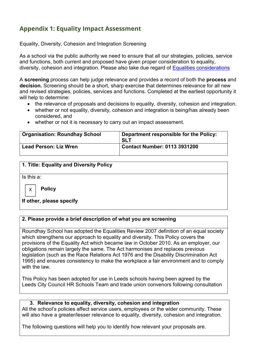### Appendix 1: Equality Impact Assessment

Equality, Diversity, Cohesion and Integration Screening

As a school via the public authority we need to ensure that all our strategies, policies, service and functions, both current and proposed have given proper consideration to equality, diversity, cohesion and integration. Please also take due regard of Equalities considerations

A screening process can help judge relevance and provides a record of both the process and decision. Screening should be a short, sharp exercise that determines relevance for all new and revised strategies, policies, services and functions. Completed at the earliest opportunity it will help to determine:

- the relevance of proposals and decisions to equality, diversity, cohesion and integration.
- whether or not equality, diversity, cohesion and integration is being/has already been considered, and
- whether or not it is necessary to carry out an impact assessment.

| <b>Organisation: Roundhay School</b> | Department responsible for the Policy:<br><b>SLT</b> |
|--------------------------------------|------------------------------------------------------|
| <b>Lead Person: Liz Wren</b>         | <b>Contact Number: 0113 3931200</b>                  |

#### 1. Title: Equality and Diversity Policy

Is this a:

X

**Policy** 

#### If other, please specify

#### 2. Please provide a brief description of what you are screening

Roundhay School has adopted the Equalities Review 2007 definition of an equal society which strengthens our approach to equality and diversity. This Policy covers the provisions of the Equality Act which became law in October 2010. As an employer, our obligations remain largely the same. The Act harmonises and replaces previous legislation (such as the Race Relations Act 1976 and the Disability Discrimination Act 1995) and ensures consistency to make the workplace a fair environment and to comply with the law.

This Policy has been adopted for use in Leeds schools having been agreed by the Leeds City Council HR Schools Team and trade union convenors following consultation

#### 3. Relevance to equality, diversity, cohesion and integration

All the school's policies affect service users, employees or the wider community. These will also have a greater/lesser relevance to equality, diversity, cohesion and integration.

The following questions will help you to identify how relevant your proposals are.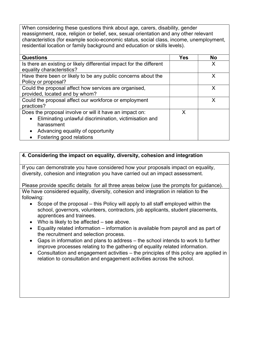When considering these questions think about age, carers, disability, gender reassignment, race, religion or belief, sex, sexual orientation and any other relevant characteristics (for example socio-economic status, social class, income, unemployment, residential location or family background and education or skills levels).

| <b>Questions</b>                                                     | Yes | <b>No</b> |
|----------------------------------------------------------------------|-----|-----------|
| Is there an existing or likely differential impact for the different |     | X         |
| equality characteristics?                                            |     |           |
| Have there been or likely to be any public concerns about the        |     | X         |
| Policy or proposal?                                                  |     |           |
| Could the proposal affect how services are organised,                |     |           |
| provided, located and by whom?                                       |     |           |
| Could the proposal affect our workforce or employment                |     | x         |
| practices?                                                           |     |           |
| Does the proposal involve or will it have an impact on:              | X   |           |
| Eliminating unlawful discrimination, victimisation and<br>$\bullet$  |     |           |
| harassment                                                           |     |           |
| Advancing equality of opportunity<br>$\bullet$                       |     |           |
| Fostering good relations                                             |     |           |

#### 4. Considering the impact on equality, diversity, cohesion and integration

If you can demonstrate you have considered how your proposals impact on equality, diversity, cohesion and integration you have carried out an impact assessment.

Please provide specific details for all three areas below (use the prompts for guidance). We have considered equality, diversity, cohesion and integration in relation to the following:

- $\bullet$  Scope of the proposal this Policy will apply to all staff employed within the school, governors, volunteers, contractors, job applicants, student placements, apprentices and trainees.
- Who is likely to be affected see above.
- Equality related information information is available from payroll and as part of the recruitment and selection process.
- Gaps in information and plans to address the school intends to work to further improve processes relating to the gathering of equality related information.
- Consultation and engagement activities the principles of this policy are applied in relation to consultation and engagement activities across the school.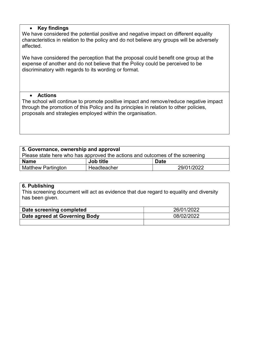#### • Key findings

We have considered the potential positive and negative impact on different equality characteristics in relation to the policy and do not believe any groups will be adversely affected.

We have considered the perception that the proposal could benefit one group at the expense of another and do not believe that the Policy could be perceived to be discriminatory with regards to its wording or format.

#### Actions

The school will continue to promote positive impact and remove/reduce negative impact through the promotion of this Policy and its principles in relation to other policies, proposals and strategies employed within the organisation.

| 5. Governance, ownership and approval                                        |             |             |  |  |  |
|------------------------------------------------------------------------------|-------------|-------------|--|--|--|
| Please state here who has approved the actions and outcomes of the screening |             |             |  |  |  |
| <b>Name</b>                                                                  | Job title   | <b>Date</b> |  |  |  |
| Matthew Partington                                                           | Headteacher | 29/01/2022  |  |  |  |

#### 6. Publishing

This screening document will act as evidence that due regard to equality and diversity has been given.

| Date screening completed      | 26/01/2022 |
|-------------------------------|------------|
| Date agreed at Governing Body | 08/02/2022 |
|                               |            |